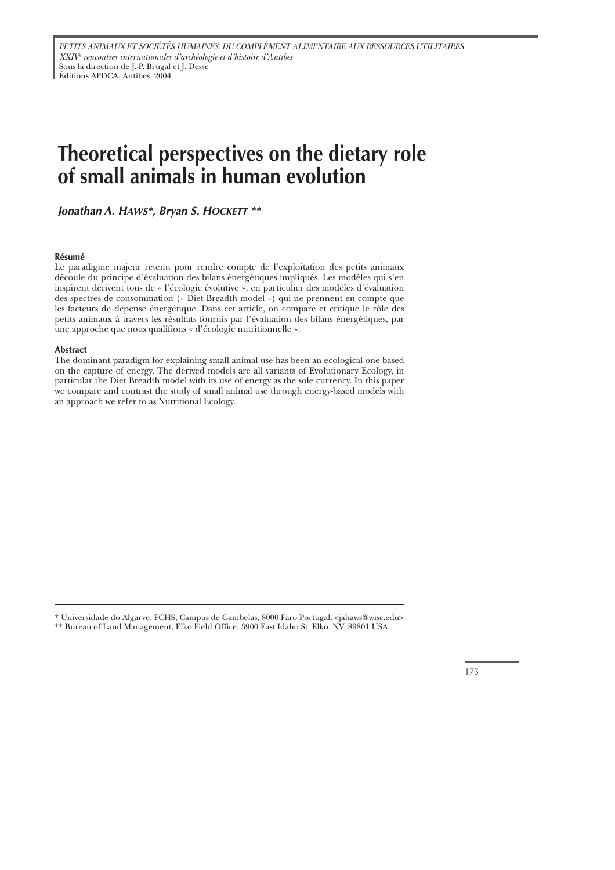# **Theoretical perspectives on the dietary role of small animals in human evolution**

*Jonathan A. HAWS\*, Bryan S. HOCKETT \*\**

#### **Résumé**

Le paradigme majeur retenu pour rendre compte de l'exploitation des petits animaux découle du principe d'évaluation des bilans énergétiques impliqués. Les modèles qui s'en inspirent dérivent tous de « l'écologie évolutive », en particulier des modèles d'évaluation des spectres de consommation (« Diet Breadth model ») qui ne prennent en compte que les facteurs de dépense énergétique. Dans cet article, on compare et critique le rôle des petits animaux à travers les résultats fournis par l'évaluation des bilans énergétiques, par une approche que nous qualifions « d'écologie nutritionnelle ».

#### **Abstract**

The dominant paradigm for explaining small animal use has been an ecological one based on the capture of energy. The derived models are all variants of Evolutionary Ecology, in particular the Diet Breadth model with its use of energy as the sole currency. In this paper we compare and contrast the study of small animal use through energy-based models with an approach we refer to as Nutritional Ecology.

<sup>\*</sup> Universidade do Algarve, FCHS, Campus de Gambelas, 8000 Faro Portugal. <jahaws@wisc.edu>

<sup>\*\*</sup> Bureau of Land Management, Elko Field Office, 3900 East Idaho St. Elko, NV, 89801 USA.

<sup>173</sup>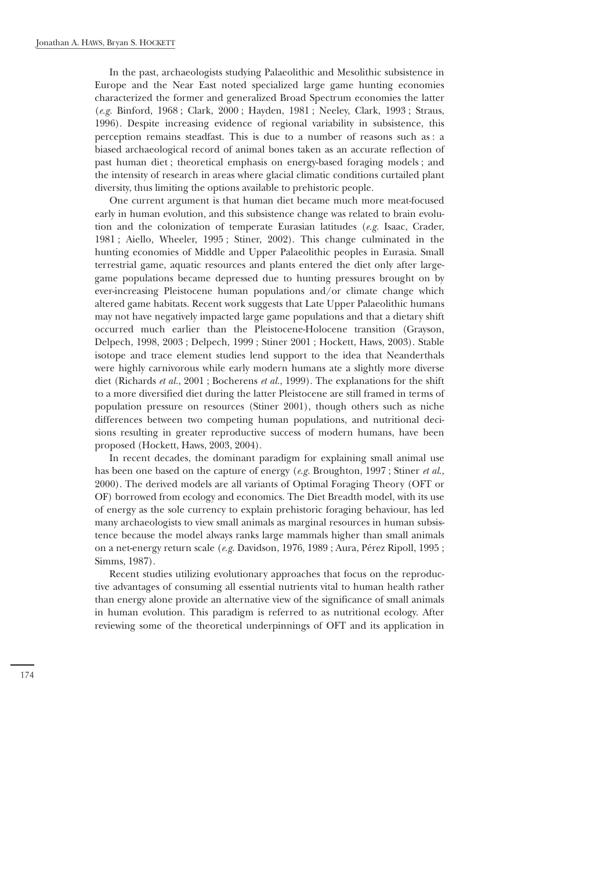In the past, archaeologists studying Palaeolithic and Mesolithic subsistence in Europe and the Near East noted specialized large game hunting economies characterized the former and generalized Broad Spectrum economies the latter (*e.g.* Binford, 1968 ; Clark, 2000 ; Hayden, 1981 ; Neeley, Clark, 1993 ; Straus, 1996). Despite increasing evidence of regional variability in subsistence, this perception remains steadfast. This is due to a number of reasons such as : a biased archaeological record of animal bones taken as an accurate reflection of past human diet ; theoretical emphasis on energy-based foraging models ; and the intensity of research in areas where glacial climatic conditions curtailed plant diversity, thus limiting the options available to prehistoric people.

One current argument is that human diet became much more meat-focused early in human evolution, and this subsistence change was related to brain evolution and the colonization of temperate Eurasian latitudes (*e.g.* Isaac, Crader, 1981 ; Aiello, Wheeler, 1995 ; Stiner, 2002). This change culminated in the hunting economies of Middle and Upper Palaeolithic peoples in Eurasia. Small terrestrial game, aquatic resources and plants entered the diet only after largegame populations became depressed due to hunting pressures brought on by ever-increasing Pleistocene human populations and/or climate change which altered game habitats. Recent work suggests that Late Upper Palaeolithic humans may not have negatively impacted large game populations and that a dietary shift occurred much earlier than the Pleistocene-Holocene transition (Grayson, Delpech, 1998, 2003 ; Delpech, 1999 ; Stiner 2001 ; Hockett, Haws, 2003). Stable isotope and trace element studies lend support to the idea that Neanderthals were highly carnivorous while early modern humans ate a slightly more diverse diet (Richards *et al.*, 2001 ; Bocherens *et al.*, 1999). The explanations for the shift to a more diversified diet during the latter Pleistocene are still framed in terms of population pressure on resources (Stiner 2001), though others such as niche differences between two competing human populations, and nutritional decisions resulting in greater reproductive success of modern humans, have been proposed (Hockett, Haws, 2003, 2004).

In recent decades, the dominant paradigm for explaining small animal use has been one based on the capture of energy (*e.g.* Broughton, 1997 ; Stiner *et al.*, 2000). The derived models are all variants of Optimal Foraging Theory (OFT or OF) borrowed from ecology and economics. The Diet Breadth model, with its use of energy as the sole currency to explain prehistoric foraging behaviour, has led many archaeologists to view small animals as marginal resources in human subsistence because the model always ranks large mammals higher than small animals on a net-energy return scale (*e.g.* Davidson, 1976, 1989 ; Aura, Pérez Ripoll, 1995 ; Simms, 1987).

Recent studies utilizing evolutionary approaches that focus on the reproductive advantages of consuming all essential nutrients vital to human health rather than energy alone provide an alternative view of the significance of small animals in human evolution. This paradigm is referred to as nutritional ecology. After reviewing some of the theoretical underpinnings of OFT and its application in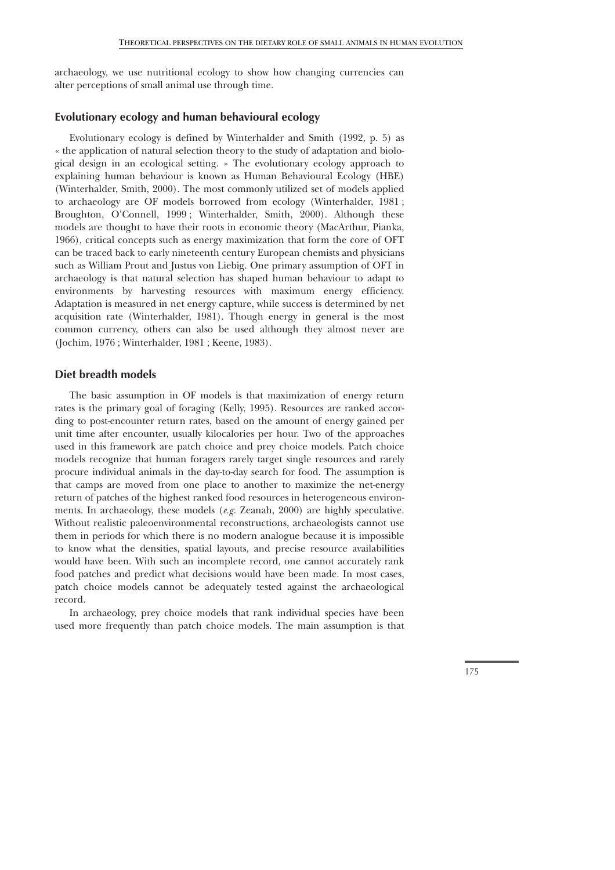archaeology, we use nutritional ecology to show how changing currencies can alter perceptions of small animal use through time.

# **Evolutionary ecology and human behavioural ecology**

Evolutionary ecology is defined by Winterhalder and Smith (1992, p. 5) as « the application of natural selection theory to the study of adaptation and biological design in an ecological setting. » The evolutionary ecology approach to explaining human behaviour is known as Human Behavioural Ecology (HBE) (Winterhalder, Smith, 2000). The most commonly utilized set of models applied to archaeology are OF models borrowed from ecology (Winterhalder, 1981 ; Broughton, O'Connell, 1999 ; Winterhalder, Smith, 2000). Although these models are thought to have their roots in economic theory (MacArthur, Pianka, 1966), critical concepts such as energy maximization that form the core of OFT can be traced back to early nineteenth century European chemists and physicians such as William Prout and Justus von Liebig. One primary assumption of OFT in archaeology is that natural selection has shaped human behaviour to adapt to environments by harvesting resources with maximum energy efficiency. Adaptation is measured in net energy capture, while success is determined by net acquisition rate (Winterhalder, 1981). Though energy in general is the most common currency, others can also be used although they almost never are (Jochim, 1976 ; Winterhalder, 1981 ; Keene, 1983).

# **Diet breadth models**

The basic assumption in OF models is that maximization of energy return rates is the primary goal of foraging (Kelly, 1995). Resources are ranked according to post-encounter return rates, based on the amount of energy gained per unit time after encounter, usually kilocalories per hour. Two of the approaches used in this framework are patch choice and prey choice models. Patch choice models recognize that human foragers rarely target single resources and rarely procure individual animals in the day-to-day search for food. The assumption is that camps are moved from one place to another to maximize the net-energy return of patches of the highest ranked food resources in heterogeneous environments. In archaeology, these models (*e.g.* Zeanah, 2000) are highly speculative. Without realistic paleoenvironmental reconstructions, archaeologists cannot use them in periods for which there is no modern analogue because it is impossible to know what the densities, spatial layouts, and precise resource availabilities would have been. With such an incomplete record, one cannot accurately rank food patches and predict what decisions would have been made. In most cases, patch choice models cannot be adequately tested against the archaeological record.

In archaeology, prey choice models that rank individual species have been used more frequently than patch choice models. The main assumption is that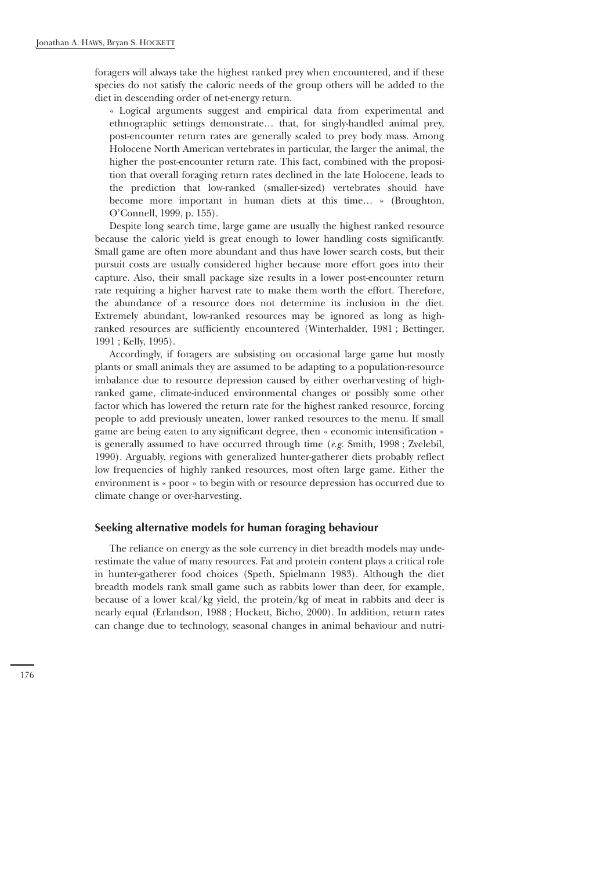foragers will always take the highest ranked prey when encountered, and if these species do not satisfy the caloric needs of the group others will be added to the diet in descending order of net-energy return.

« Logical arguments suggest and empirical data from experimental and ethnographic settings demonstrate… that, for singly-handled animal prey, post-encounter return rates are generally scaled to prey body mass. Among Holocene North American vertebrates in particular, the larger the animal, the higher the post-encounter return rate. This fact, combined with the proposition that overall foraging return rates declined in the late Holocene, leads to the prediction that low-ranked (smaller-sized) vertebrates should have become more important in human diets at this time… » (Broughton, O'Connell, 1999, p. 155).

Despite long search time, large game are usually the highest ranked resource because the caloric yield is great enough to lower handling costs significantly. Small game are often more abundant and thus have lower search costs, but their pursuit costs are usually considered higher because more effort goes into their capture. Also, their small package size results in a lower post-encounter return rate requiring a higher harvest rate to make them worth the effort. Therefore, the abundance of a resource does not determine its inclusion in the diet. Extremely abundant, low-ranked resources may be ignored as long as highranked resources are sufficiently encountered (Winterhalder, 1981 ; Bettinger, 1991 ; Kelly, 1995).

Accordingly, if foragers are subsisting on occasional large game but mostly plants or small animals they are assumed to be adapting to a population-resource imbalance due to resource depression caused by either overharvesting of highranked game, climate-induced environmental changes or possibly some other factor which has lowered the return rate for the highest ranked resource, forcing people to add previously uneaten, lower ranked resources to the menu. If small game are being eaten to any significant degree, then « economic intensification » is generally assumed to have occurred through time (*e.g.* Smith, 1998 ; Zvelebil, 1990). Arguably, regions with generalized hunter-gatherer diets probably reflect low frequencies of highly ranked resources, most often large game. Either the environment is « poor » to begin with or resource depression has occurred due to climate change or over-harvesting.

## **Seeking alternative models for human foraging behaviour**

The reliance on energy as the sole currency in diet breadth models may underestimate the value of many resources. Fat and protein content plays a critical role in hunter-gatherer food choices (Speth, Spielmann 1983). Although the diet breadth models rank small game such as rabbits lower than deer, for example, because of a lower kcal/kg yield, the protein/kg of meat in rabbits and deer is nearly equal (Erlandson, 1988 ; Hockett, Bicho, 2000). In addition, return rates can change due to technology, seasonal changes in animal behaviour and nutri-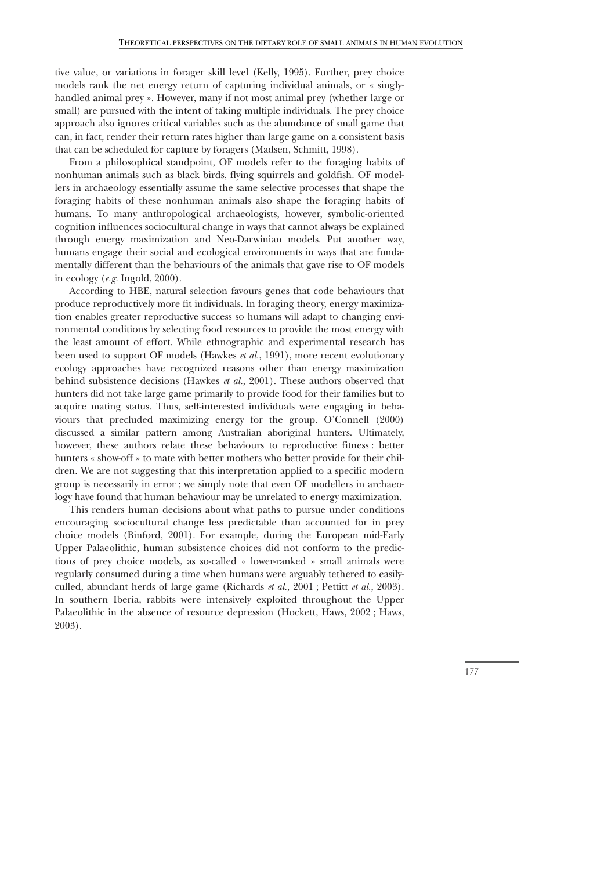tive value, or variations in forager skill level (Kelly, 1995). Further, prey choice models rank the net energy return of capturing individual animals, or « singlyhandled animal prey ». However, many if not most animal prey (whether large or small) are pursued with the intent of taking multiple individuals. The prey choice approach also ignores critical variables such as the abundance of small game that can, in fact, render their return rates higher than large game on a consistent basis that can be scheduled for capture by foragers (Madsen, Schmitt, 1998).

From a philosophical standpoint, OF models refer to the foraging habits of nonhuman animals such as black birds, flying squirrels and goldfish. OF modellers in archaeology essentially assume the same selective processes that shape the foraging habits of these nonhuman animals also shape the foraging habits of humans. To many anthropological archaeologists, however, symbolic-oriented cognition influences sociocultural change in ways that cannot always be explained through energy maximization and Neo-Darwinian models. Put another way, humans engage their social and ecological environments in ways that are fundamentally different than the behaviours of the animals that gave rise to OF models in ecology (*e.g.* Ingold, 2000).

According to HBE, natural selection favours genes that code behaviours that produce reproductively more fit individuals. In foraging theory, energy maximization enables greater reproductive success so humans will adapt to changing environmental conditions by selecting food resources to provide the most energy with the least amount of effort. While ethnographic and experimental research has been used to support OF models (Hawkes *et al.*, 1991), more recent evolutionary ecology approaches have recognized reasons other than energy maximization behind subsistence decisions (Hawkes *et al.*, 2001). These authors observed that hunters did not take large game primarily to provide food for their families but to acquire mating status. Thus, self-interested individuals were engaging in behaviours that precluded maximizing energy for the group. O'Connell (2000) discussed a similar pattern among Australian aboriginal hunters. Ultimately, however, these authors relate these behaviours to reproductive fitness : better hunters « show-off » to mate with better mothers who better provide for their children. We are not suggesting that this interpretation applied to a specific modern group is necessarily in error ; we simply note that even OF modellers in archaeology have found that human behaviour may be unrelated to energy maximization.

This renders human decisions about what paths to pursue under conditions encouraging sociocultural change less predictable than accounted for in prey choice models (Binford, 2001). For example, during the European mid-Early Upper Palaeolithic, human subsistence choices did not conform to the predictions of prey choice models, as so-called « lower-ranked » small animals were regularly consumed during a time when humans were arguably tethered to easilyculled, abundant herds of large game (Richards *et al.*, 2001 ; Pettitt *et al.*, 2003). In southern Iberia, rabbits were intensively exploited throughout the Upper Palaeolithic in the absence of resource depression (Hockett, Haws, 2002 ; Haws, 2003).

177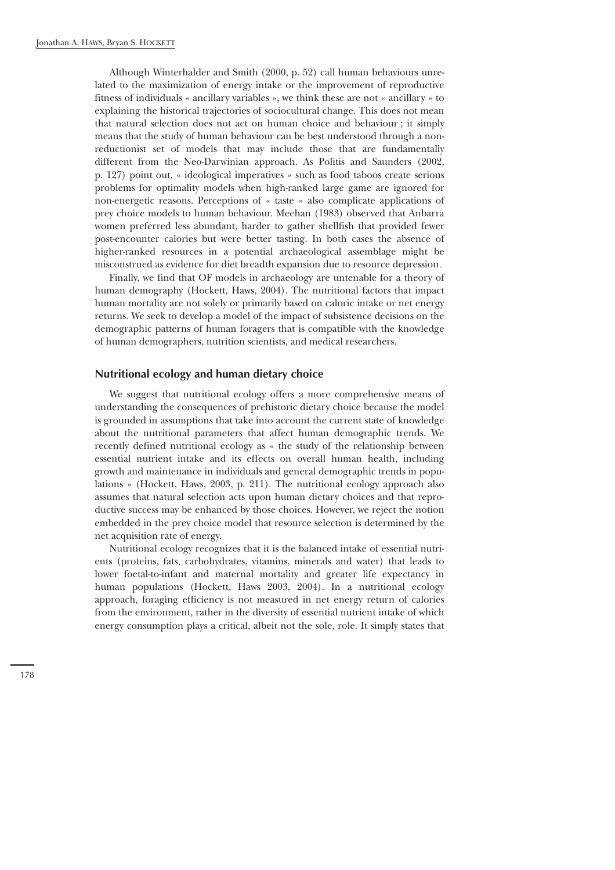Although Winterhalder and Smith (2000, p. 52) call human behaviours unrelated to the maximization of energy intake or the improvement of reproductive fitness of individuals « ancillary variables », we think these are not « ancillary » to explaining the historical trajectories of sociocultural change. This does not mean that natural selection does not act on human choice and behaviour ; it simply means that the study of human behaviour can be best understood through a nonreductionist set of models that may include those that are fundamentally different from the Neo-Darwinian approach. As Politis and Saunders (2002, p. 127) point out, « ideological imperatives » such as food taboos create serious problems for optimality models when high-ranked large game are ignored for non-energetic reasons. Perceptions of « taste » also complicate applications of prey choice models to human behaviour. Meehan (1983) observed that Anbarra women preferred less abundant, harder to gather shellfish that provided fewer post-encounter calories but were better tasting. In both cases the absence of higher-ranked resources in a potential archaeological assemblage might be misconstrued as evidence for diet breadth expansion due to resource depression.

Finally, we find that OF models in archaeology are untenable for a theory of human demography (Hockett, Haws, 2004). The nutritional factors that impact human mortality are not solely or primarily based on caloric intake or net energy returns. We seek to develop a model of the impact of subsistence decisions on the demographic patterns of human foragers that is compatible with the knowledge of human demographers, nutrition scientists, and medical researchers.

#### **Nutritional ecology and human dietary choice**

We suggest that nutritional ecology offers a more comprehensive means of understanding the consequences of prehistoric dietary choice because the model is grounded in assumptions that take into account the current state of knowledge about the nutritional parameters that affect human demographic trends. We recently defined nutritional ecology as « the study of the relationship between essential nutrient intake and its effects on overall human health, including growth and maintenance in individuals and general demographic trends in populations » (Hockett, Haws, 2003, p. 211). The nutritional ecology approach also assumes that natural selection acts upon human dietary choices and that reproductive success may be enhanced by those choices. However, we reject the notion embedded in the prey choice model that resource selection is determined by the net acquisition rate of energy.

Nutritional ecology recognizes that it is the balanced intake of essential nutrients (proteins, fats, carbohydrates, vitamins, minerals and water) that leads to lower foetal-to-infant and maternal mortality and greater life expectancy in human populations (Hockett, Haws 2003, 2004). In a nutritional ecology approach, foraging efficiency is not measured in net energy return of calories from the environment, rather in the diversity of essential nutrient intake of which energy consumption plays a critical, albeit not the sole, role. It simply states that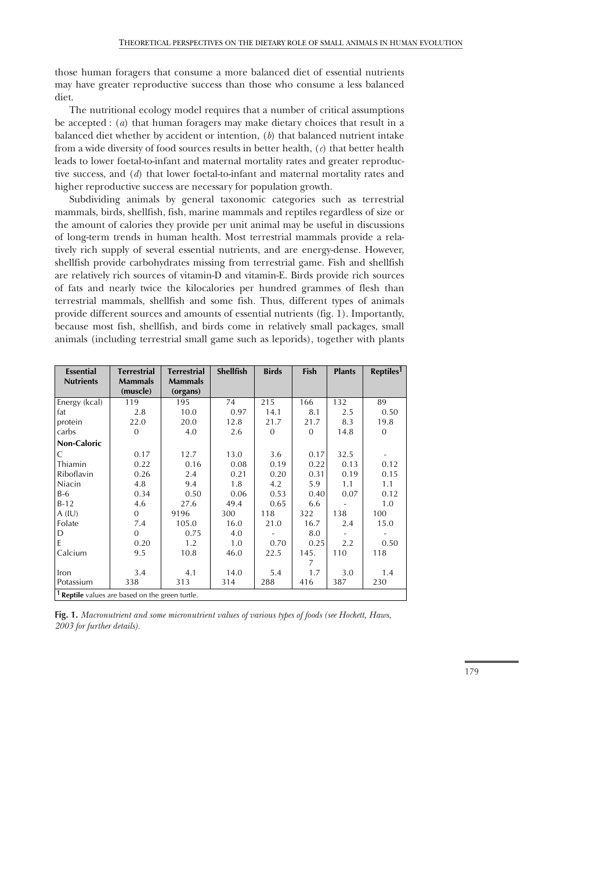those human foragers that consume a more balanced diet of essential nutrients may have greater reproductive success than those who consume a less balanced diet.

The nutritional ecology model requires that a number of critical assumptions be accepted : (*a*) that human foragers may make dietary choices that result in a balanced diet whether by accident or intention, (*b*) that balanced nutrient intake from a wide diversity of food sources results in better health, (*c*) that better health leads to lower foetal-to-infant and maternal mortality rates and greater reproductive success, and (*d*) that lower foetal-to-infant and maternal mortality rates and higher reproductive success are necessary for population growth.

Subdividing animals by general taxonomic categories such as terrestrial mammals, birds, shellfish, fish, marine mammals and reptiles regardless of size or the amount of calories they provide per unit animal may be useful in discussions of long-term trends in human health. Most terrestrial mammals provide a relatively rich supply of several essential nutrients, and are energy-dense. However, shellfish provide carbohydrates missing from terrestrial game. Fish and shellfish are relatively rich sources of vitamin-D and vitamin-E. Birds provide rich sources of fats and nearly twice the kilocalories per hundred grammes of flesh than terrestrial mammals, shellfish and some fish. Thus, different types of animals provide different sources and amounts of essential nutrients (fig. 1). Importantly, because most fish, shellfish, and birds come in relatively small packages, small animals (including terrestrial small game such as leporids), together with plants

| <b>Essential</b>                                           | <b>Terrestrial</b> | <b>Terrestrial</b> | <b>Shellfish</b> | <b>Birds</b>   | <b>Fish</b> | <b>Plants</b> | Reptiles <sup>1</sup> |
|------------------------------------------------------------|--------------------|--------------------|------------------|----------------|-------------|---------------|-----------------------|
| <b>Nutrients</b>                                           | <b>Mammals</b>     | <b>Mammals</b>     |                  |                |             |               |                       |
|                                                            | (muscle)           | (organs)           |                  |                |             |               |                       |
| Energy (kcal)                                              | 119                | 195                | 74               | 215            | 166         | 132           | 89                    |
| fat                                                        | 2.8                | 10.0               | 0.97             | 14.1           | 8.1         | 2.5           | 0.50                  |
| protein                                                    | 22.0               | 20.0               | 12.8             | 21.7           | 21.7        | 8.3           | 19.8                  |
| carbs                                                      | $\Omega$           | 4.0                | 2.6              | $\overline{0}$ | $\Omega$    | 14.8          | $\overline{0}$        |
| Non-Caloric                                                |                    |                    |                  |                |             |               |                       |
| C                                                          | 0.17               | 12.7               | 13.0             | 3.6            | 0.17        | 32.5          |                       |
| Thiamin                                                    | 0.22               | 0.16               | 0.08             | 0.19           | 0.22        | 0.13          | 0.12                  |
| Riboflavin                                                 | 0.26               | 2.4                | 0.21             | 0.20           | 0.31        | 0.19          | 0.15                  |
| Niacin                                                     | 4.8                | 9.4                | 1.8              | 4.2            | 5.9         | 1.1           | 1.1                   |
| B-6                                                        | 0.34               | 0.50               | 0.06             | 0.53           | 0.40        | 0.07          | 0.12                  |
| $B-12$                                                     | 4.6                | 27.6               | 49.4             | 0.65           | 6.6         |               | 1.0                   |
| $A$ (IU)                                                   | $\overline{0}$     | 9196               | 300              | 118            | 322         | 138           | 100                   |
| Folate                                                     | 7.4                | 105.0              | 16.0             | 21.0           | 16.7        | 2.4           | 15.0                  |
| D                                                          | $\Omega$           | 0.75               | 4.0              |                | 8.0         |               |                       |
| E                                                          | 0.20               | 1.2                | 1.0              | 0.70           | 0.25        | 2.2           | 0.50                  |
| Calcium                                                    | 9.5                | 10.8               | 46.0             | 22.5           | 145.        | 110           | 118                   |
|                                                            |                    |                    |                  |                | 7           |               |                       |
| Iron                                                       | 3.4                | 4.1                | 14.0             | 5.4            | 1.7         | 3.0           | 1.4                   |
| Potassium                                                  | 338                | 313                | 314              | 288            | 416         | 387           | 230                   |
| <sup>1</sup> Reptile values are based on the green turtle. |                    |                    |                  |                |             |               |                       |

**Fig. 1.** *Macronutrient and some micronutrient values of various types of foods (see Hockett, Haws, 2003 for further details).*

## 179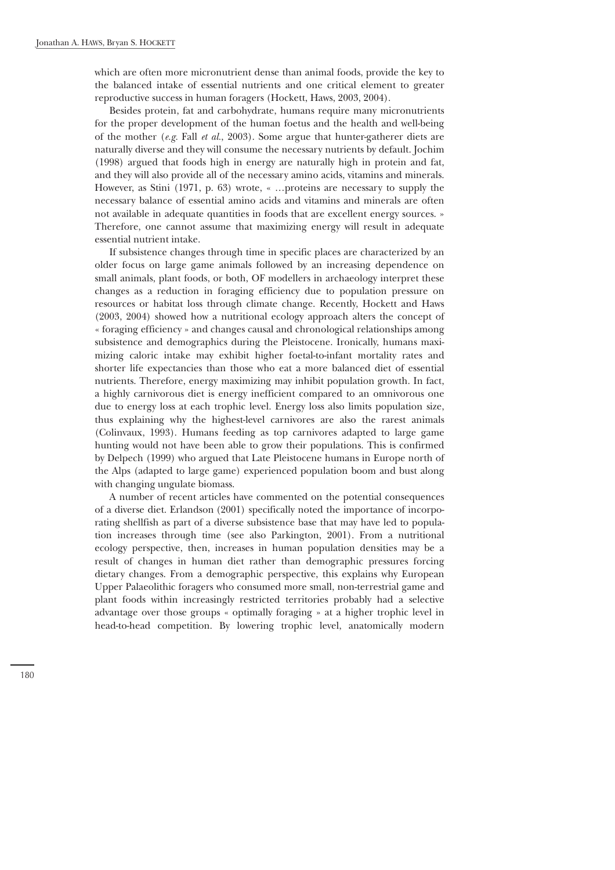which are often more micronutrient dense than animal foods, provide the key to the balanced intake of essential nutrients and one critical element to greater reproductive success in human foragers (Hockett, Haws, 2003, 2004).

Besides protein, fat and carbohydrate, humans require many micronutrients for the proper development of the human foetus and the health and well-being of the mother (*e.g.* Fall *et al.*, 2003). Some argue that hunter-gatherer diets are naturally diverse and they will consume the necessary nutrients by default. Jochim (1998) argued that foods high in energy are naturally high in protein and fat, and they will also provide all of the necessary amino acids, vitamins and minerals. However, as Stini (1971, p. 63) wrote, « …proteins are necessary to supply the necessary balance of essential amino acids and vitamins and minerals are often not available in adequate quantities in foods that are excellent energy sources. » Therefore, one cannot assume that maximizing energy will result in adequate essential nutrient intake.

If subsistence changes through time in specific places are characterized by an older focus on large game animals followed by an increasing dependence on small animals, plant foods, or both, OF modellers in archaeology interpret these changes as a reduction in foraging efficiency due to population pressure on resources or habitat loss through climate change. Recently, Hockett and Haws (2003, 2004) showed how a nutritional ecology approach alters the concept of « foraging efficiency » and changes causal and chronological relationships among subsistence and demographics during the Pleistocene. Ironically, humans maximizing caloric intake may exhibit higher foetal-to-infant mortality rates and shorter life expectancies than those who eat a more balanced diet of essential nutrients. Therefore, energy maximizing may inhibit population growth. In fact, a highly carnivorous diet is energy inefficient compared to an omnivorous one due to energy loss at each trophic level. Energy loss also limits population size, thus explaining why the highest-level carnivores are also the rarest animals (Colinvaux, 1993). Humans feeding as top carnivores adapted to large game hunting would not have been able to grow their populations. This is confirmed by Delpech (1999) who argued that Late Pleistocene humans in Europe north of the Alps (adapted to large game) experienced population boom and bust along with changing ungulate biomass.

A number of recent articles have commented on the potential consequences of a diverse diet. Erlandson (2001) specifically noted the importance of incorporating shellfish as part of a diverse subsistence base that may have led to population increases through time (see also Parkington, 2001). From a nutritional ecology perspective, then, increases in human population densities may be a result of changes in human diet rather than demographic pressures forcing dietary changes. From a demographic perspective, this explains why European Upper Palaeolithic foragers who consumed more small, non-terrestrial game and plant foods within increasingly restricted territories probably had a selective advantage over those groups « optimally foraging » at a higher trophic level in head-to-head competition. By lowering trophic level, anatomically modern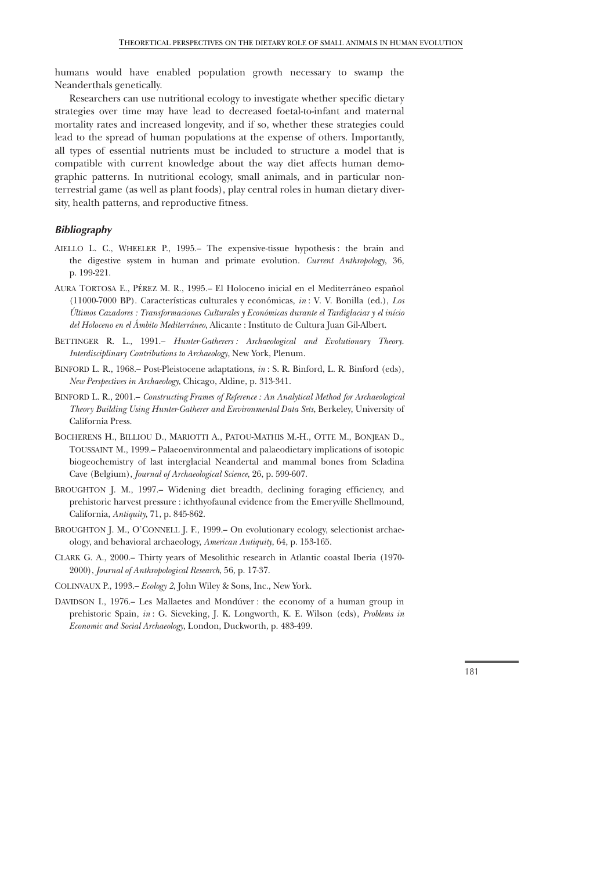humans would have enabled population growth necessary to swamp the Neanderthals genetically.

Researchers can use nutritional ecology to investigate whether specific dietary strategies over time may have lead to decreased foetal-to-infant and maternal mortality rates and increased longevity, and if so, whether these strategies could lead to the spread of human populations at the expense of others. Importantly, all types of essential nutrients must be included to structure a model that is compatible with current knowledge about the way diet affects human demographic patterns. In nutritional ecology, small animals, and in particular nonterrestrial game (as well as plant foods), play central roles in human dietary diversity, health patterns, and reproductive fitness.

# *Bibliography*

- AIELLO L. C., WHEELER P., 1995.– The expensive-tissue hypothesis : the brain and the digestive system in human and primate evolution. *Current Anthropology*, 36, p. 199-221.
- AURA TORTOSA E., PÉREZ M. R., 1995.– El Holoceno inicial en el Mediterráneo español (11000-7000 BP). Características culturales y económicas, *in* : V. V. Bonilla (ed.), *Los Últimos Cazadores : Transformaciones Culturales y Económicas durante el Tardiglaciar y el início del Holoceno en el Ámbito Mediterráneo*, Alicante : Instituto de Cultura Juan Gil-Albert.
- BETTINGER R. L., 1991.– *Hunter-Gatherers : Archaeological and Evolutionary Theory*. *Interdisciplinary Contributions to Archaeology*, New York, Plenum.
- BINFORD L. R., 1968.– Post-Pleistocene adaptations, *in* : S. R. Binford, L. R. Binford (eds), *New Perspectives in Archaeology*, Chicago, Aldine, p. 313-341.
- BINFORD L. R., 2001.– *Constructing Frames of Reference : An Analytical Method for Archaeological Theory Building Using Hunter-Gatherer and Environmental Data Sets*, Berkeley, University of California Press.
- BOCHERENS H., BILLIOU D., MARIOTTI A., PATOU-MATHIS M.-H., OTTE M., BONJEAN D., TOUSSAINT M., 1999.– Palaeoenvironmental and palaeodietary implications of isotopic biogeochemistry of last interglacial Neandertal and mammal bones from Scladina Cave (Belgium), *Journal of Archaeological Science*, 26, p. 599-607.
- BROUGHTON J. M., 1997.– Widening diet breadth, declining foraging efficiency, and prehistoric harvest pressure : ichthyofaunal evidence from the Emeryville Shellmound, California, *Antiquity*, 71, p. 845-862.
- BROUGHTON J. M., O'CONNELL J. F., 1999.– On evolutionary ecology, selectionist archaeology, and behavioral archaeology, *American Antiquity*, 64, p. 153-165.
- CLARK G. A., 2000.– Thirty years of Mesolithic research in Atlantic coastal Iberia (1970- 2000), *Journal of Anthropological Research*, 56, p. 17-37.
- COLINVAUX P., 1993.– *Ecology 2*, John Wiley & Sons, Inc., New York.
- DAVIDSON I., 1976.– Les Mallaetes and Mondúver : the economy of a human group in prehistoric Spain, *in* : G. Sieveking, J. K. Longworth, K. E. Wilson (eds), *Problems in Economic and Social Archaeology*, London, Duckworth, p. 483-499.

181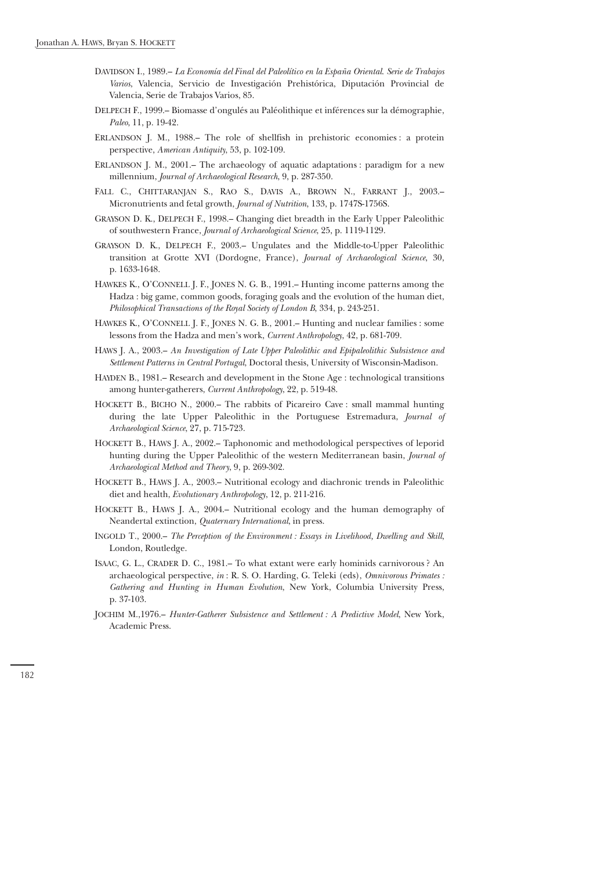- DAVIDSON I., 1989.– *La Economía del Final del Paleolítico en la España Oriental*. *Serie de Trabajos Varios*, Valencia, Servicio de Investigación Prehistórica, Diputación Provincial de Valencia, Serie de Trabajos Varios, 85.
- DELPECH F., 1999.– Biomasse d'ongulés au Paléolithique et inférences sur la démographie, *Paleo*, 11, p. 19-42.
- ERLANDSON J. M., 1988.– The role of shellfish in prehistoric economies : a protein perspective, *American Antiquity*, 53, p. 102-109.
- ERLANDSON J. M., 2001.– The archaeology of aquatic adaptations : paradigm for a new millennium, *Journal of Archaeological Research*, 9, p. 287-350.
- FALL C., CHITTARANJAN S., RAO S., DAVIS A., BROWN N., FARRANT J., 2003.– Micronutrients and fetal growth, *Journal of Nutrition*, 133, p. 1747S-1756S.
- GRAYSON D. K., DELPECH F., 1998.– Changing diet breadth in the Early Upper Paleolithic of southwestern France, *Journal of Archaeological Science*, 25, p. 1119-1129.
- GRAYSON D. K., DELPECH F., 2003.– Ungulates and the Middle-to-Upper Paleolithic transition at Grotte XVI (Dordogne, France), *Journal of Archaeological Science*, 30, p. 1633-1648.
- HAWKES K., O'CONNELL J. F., JONES N. G. B., 1991.– Hunting income patterns among the Hadza : big game, common goods, foraging goals and the evolution of the human diet, *Philosophical Transactions of the Royal Society of London B*, 334, p. 243-251.
- HAWKES K., O'CONNELL J. F., JONES N. G. B., 2001.– Hunting and nuclear families : some lessons from the Hadza and men's work, *Current Anthropology*, 42, p. 681-709.
- HAWS J. A., 2003.– *An Investigation of Late Upper Paleolithic and Epipaleolithic Subsistence and Settlement Patterns in Central Portugal*, Doctoral thesis, University of Wisconsin-Madison.
- HAYDEN B., 1981.– Research and development in the Stone Age : technological transitions among hunter-gatherers, *Current Anthropology*, 22, p. 519-48.
- HOCKETT B., BICHO N., 2000.– The rabbits of Picareiro Cave : small mammal hunting during the late Upper Paleolithic in the Portuguese Estremadura, *Journal of Archaeological Science*, 27, p. 715-723.
- HOCKETT B., HAWS J. A., 2002.– Taphonomic and methodological perspectives of leporid hunting during the Upper Paleolithic of the western Mediterranean basin, *Journal of Archaeological Method and Theory*, 9, p. 269-302.
- HOCKETT B., HAWS J. A., 2003.– Nutritional ecology and diachronic trends in Paleolithic diet and health, *Evolutionary Anthropology*, 12, p. 211-216.
- HOCKETT B., HAWS J. A., 2004.– Nutritional ecology and the human demography of Neandertal extinction, *Quaternary International*, in press.
- INGOLD T., 2000.– *The Perception of the Environment : Essays in Livelihood, Dwelling and Skill*, London, Routledge.
- ISAAC, G. L., CRADER D. C., 1981.– To what extant were early hominids carnivorous ? An archaeological perspective, *in* : R. S. O. Harding, G. Teleki (eds), *Omnivorous Primates : Gathering and Hunting in Human Evolution*, New York, Columbia University Press, p. 37-103.
- JOCHIM M.,1976.– *Hunter-Gatherer Subsistence and Settlement : A Predictive Model*, New York, Academic Press.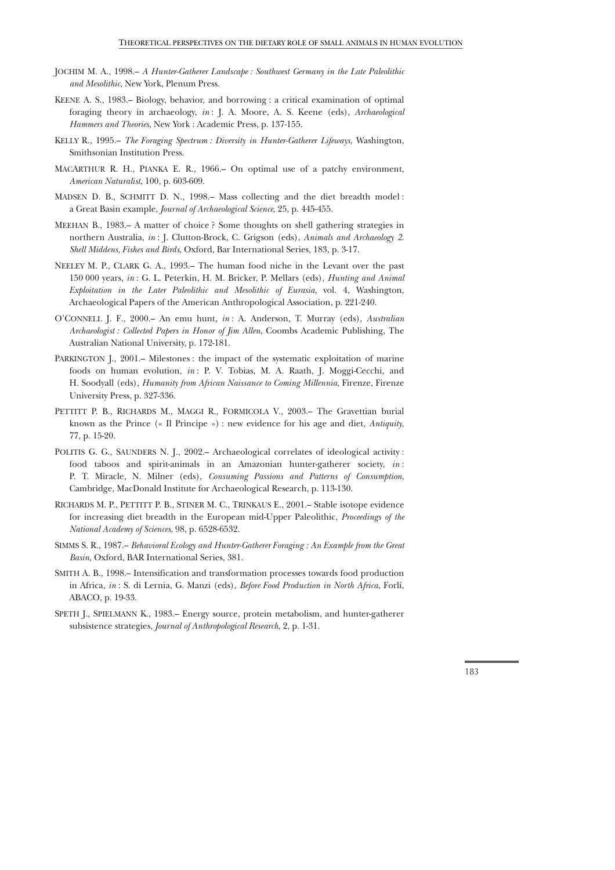- JOCHIM M. A., 1998.– *A Hunter-Gatherer Landscape : Southwest Germany in the Late Paleolithic and Mesolithic*, New York, Plenum Press.
- KEENE A. S., 1983.– Biology, behavior, and borrowing : a critical examination of optimal foraging theory in archaeology, *in* : J. A. Moore, A. S. Keene (eds), *Archaeological Hammers and Theories*, New York : Academic Press, p. 137-155.
- KELLY R., 1995.– *The Foraging Spectrum : Diversity in Hunter-Gatherer Lifeways*, Washington, Smithsonian Institution Press.
- MACARTHUR R. H., PIANKA E. R., 1966.– On optimal use of a patchy environment, *American Naturalist*, 100, p. 603-609.
- MADSEN D. B., SCHMITT D. N., 1998.– Mass collecting and the diet breadth model : a Great Basin example, *Journal of Archaeological Science*, 25, p. 445-455.
- MEEHAN B., 1983.– A matter of choice ? Some thoughts on shell gathering strategies in northern Australia, *in* : J. Clutton-Brock, C. Grigson (eds), *Animals and Archaeology 2. Shell Middens, Fishes and Birds*, Oxford, Bar International Series, 183, p. 3-17.
- NEELEY M. P., CLARK G. A., 1993.– The human food niche in the Levant over the past 150 000 years, *in* : G. L. Peterkin, H. M. Bricker, P. Mellars (eds), *Hunting and Animal Exploitation in the Later Paleolithic and Mesolithic of Eurasia*, vol. 4, Washington, Archaeological Papers of the American Anthropological Association, p. 221-240.
- O'CONNELL J. F., 2000.– An emu hunt, *in* : A. Anderson, T. Murray (eds), *Australian Archaeologist : Collected Papers in Honor of Jim Allen*, Coombs Academic Publishing, The Australian National University, p. 172-181.
- PARKINGTON J., 2001.– Milestones : the impact of the systematic exploitation of marine foods on human evolution, *in* : P. V. Tobias, M. A. Raath, J. Moggi-Cecchi, and H. Soodyall (eds), *Humanity from African Naissance to Coming Millennia*, Firenze, Firenze University Press, p. 327-336.
- PETTITT P. B., RICHARDS M., MAGGI R., FORMICOLA V., 2003.– The Gravettian burial known as the Prince (« Il Principe ») : new evidence for his age and diet, *Antiquity*, 77, p. 15-20.
- POLITIS G. G., SAUNDERS N. J., 2002.– Archaeological correlates of ideological activity : food taboos and spirit-animals in an Amazonian hunter-gatherer society, *in* : P. T. Miracle, N. Milner (eds), *Consuming Passions and Patterns of Consumption*, Cambridge, MacDonald Institute for Archaeological Research, p. 113-130.
- RICHARDS M. P., PETTITT P. B., STINER M. C., TRINKAUS E., 2001.– Stable isotope evidence for increasing diet breadth in the European mid-Upper Paleolithic, *Proceedings of the National Academy of Sciences*, 98, p. 6528-6532.
- SIMMS S. R., 1987.– *Behavioral Ecology and Hunter-Gatherer Foraging : An Example from the Great Basin*, Oxford, BAR International Series, 381.
- SMITH A. B., 1998.– Intensification and transformation processes towards food production in Africa, *in* : S. di Lernia, G. Manzi (eds), *Before Food Production in North Africa*, Forlí, ABACO, p. 19-33.
- SPETH J., SPIELMANN K., 1983.– Energy source, protein metabolism, and hunter-gatherer subsistence strategies, *Journal of Anthropological Research*, 2, p. 1-31.